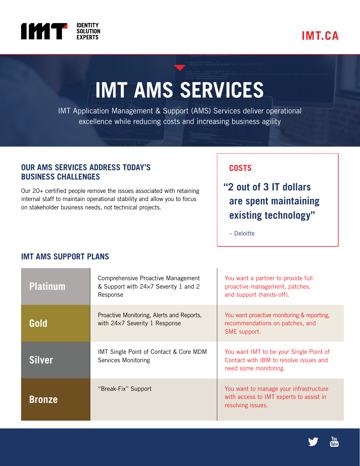

# **IMT.CA**

# **IMT AMS SERVICES**

IMT Application Management & Support (AMS) Services deliver operational excellence while reducing costs and increasing business agility

### **OUR AMS SERVICES ADDRESS TODAY'S BUSINESS CHALLENGES**

Our 20+ certified people remove the issues associated with retaining internal staff to maintain operational stability and allow you to focus on stakeholder business needs, not technical projects.

## **COSTS**

 **"2 out of 3 IT dollars are spent maintaining existing technology"**

– Deloitte

#### **Platinum** Comprehensive Proactive Management & Support with 24×7 Severity 1 and 2 Response You want a partner to provide full proactive management, patches, and support (hands-off). **Gold** Proactive Monitoring, Alerts and Reports, with 24×7 Severity 1 Response You want proactive monitoring & reporting, recommendations on patches, and SME support. **Silver** IMT Single Point of Contact & Core MDM Services Monitoring You want IMT to be your Single Point of Contact with IBM to resolve issues and need some monitoring. **Bronze** "Break-Fix" Support You want to manage your infrastructure with access to IMT experts to assist in resolving issues.

# **IMT AMS SUPPORT PLANS**